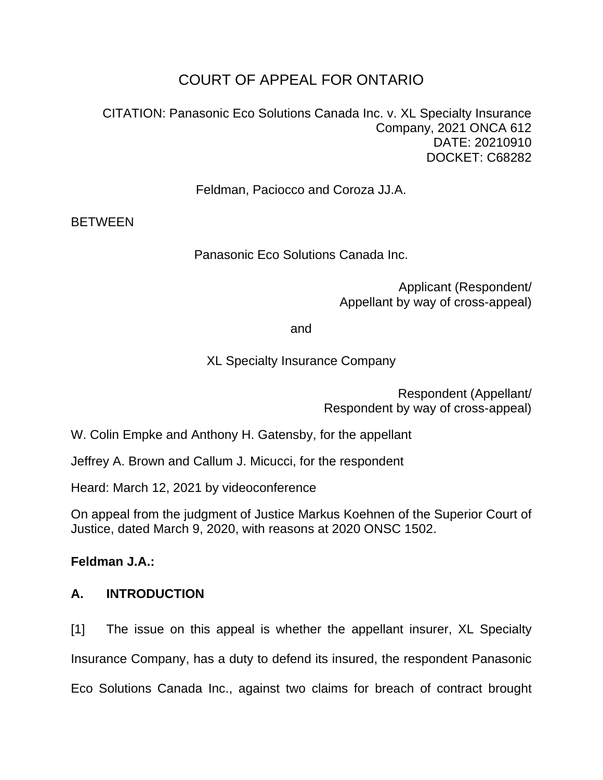# COURT OF APPEAL FOR ONTARIO

CITATION: Panasonic Eco Solutions Canada Inc. v. XL Specialty Insurance Company, 2021 ONCA 612 DATE: 20210910 DOCKET: C68282

Feldman, Paciocco and Coroza JJ.A.

**BETWEEN** 

Panasonic Eco Solutions Canada Inc.

Applicant (Respondent/ Appellant by way of cross-appeal)

and

XL Specialty Insurance Company

Respondent (Appellant/ Respondent by way of cross-appeal)

W. Colin Empke and Anthony H. Gatensby, for the appellant

Jeffrey A. Brown and Callum J. Micucci, for the respondent

Heard: March 12, 2021 by videoconference

On appeal from the judgment of Justice Markus Koehnen of the Superior Court of Justice, dated March 9, 2020, with reasons at 2020 ONSC 1502.

**Feldman J.A.:**

### **A. INTRODUCTION**

[1] The issue on this appeal is whether the appellant insurer, XL Specialty Insurance Company, has a duty to defend its insured, the respondent Panasonic Eco Solutions Canada Inc., against two claims for breach of contract brought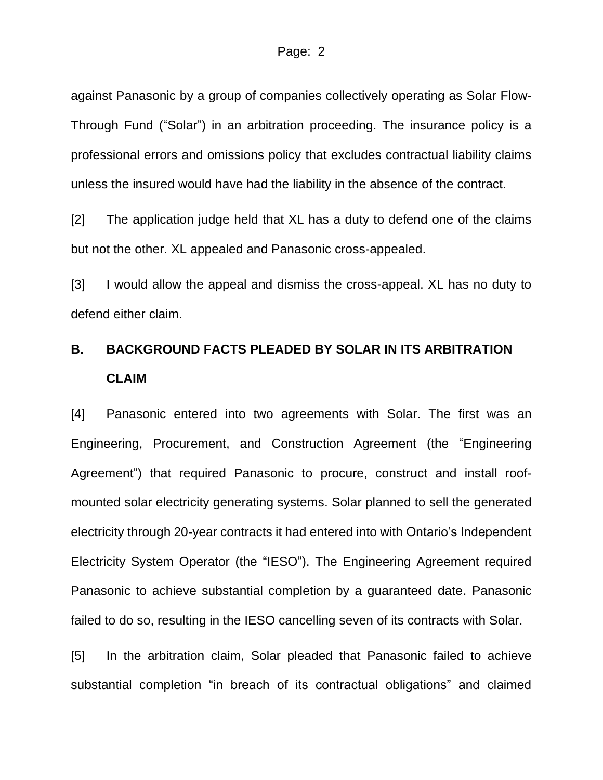against Panasonic by a group of companies collectively operating as Solar Flow-Through Fund ("Solar") in an arbitration proceeding. The insurance policy is a professional errors and omissions policy that excludes contractual liability claims unless the insured would have had the liability in the absence of the contract.

[2] The application judge held that XL has a duty to defend one of the claims but not the other. XL appealed and Panasonic cross-appealed.

[3] I would allow the appeal and dismiss the cross-appeal. XL has no duty to defend either claim.

# **B. BACKGROUND FACTS PLEADED BY SOLAR IN ITS ARBITRATION CLAIM**

[4] Panasonic entered into two agreements with Solar. The first was an Engineering, Procurement, and Construction Agreement (the "Engineering Agreement") that required Panasonic to procure, construct and install roofmounted solar electricity generating systems. Solar planned to sell the generated electricity through 20-year contracts it had entered into with Ontario's Independent Electricity System Operator (the "IESO"). The Engineering Agreement required Panasonic to achieve substantial completion by a guaranteed date. Panasonic failed to do so, resulting in the IESO cancelling seven of its contracts with Solar.

[5] In the arbitration claim, Solar pleaded that Panasonic failed to achieve substantial completion "in breach of its contractual obligations" and claimed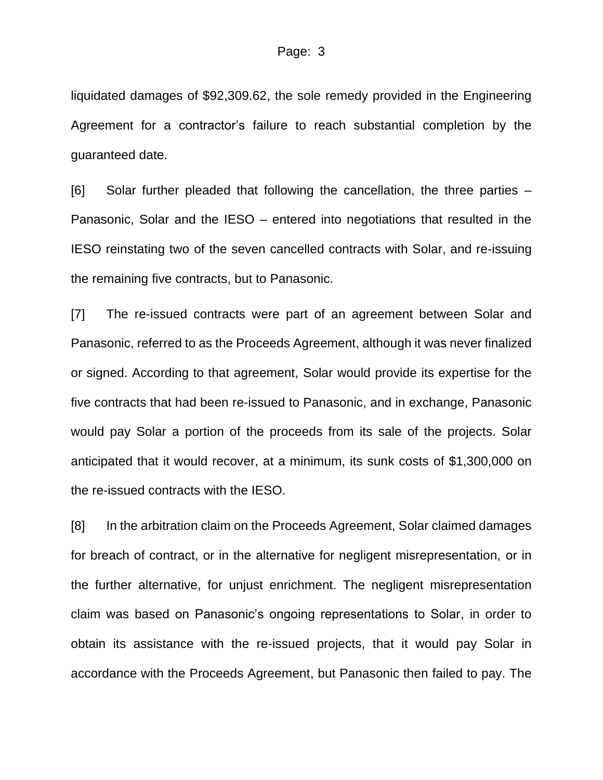liquidated damages of \$92,309.62, the sole remedy provided in the Engineering Agreement for a contractor's failure to reach substantial completion by the guaranteed date.

[6] Solar further pleaded that following the cancellation, the three parties – Panasonic, Solar and the IESO – entered into negotiations that resulted in the IESO reinstating two of the seven cancelled contracts with Solar, and re-issuing the remaining five contracts, but to Panasonic.

[7] The re-issued contracts were part of an agreement between Solar and Panasonic, referred to as the Proceeds Agreement, although it was never finalized or signed. According to that agreement, Solar would provide its expertise for the five contracts that had been re-issued to Panasonic, and in exchange, Panasonic would pay Solar a portion of the proceeds from its sale of the projects. Solar anticipated that it would recover, at a minimum, its sunk costs of \$1,300,000 on the re-issued contracts with the IESO.

[8] In the arbitration claim on the Proceeds Agreement, Solar claimed damages for breach of contract, or in the alternative for negligent misrepresentation, or in the further alternative, for unjust enrichment. The negligent misrepresentation claim was based on Panasonic's ongoing representations to Solar, in order to obtain its assistance with the re-issued projects, that it would pay Solar in accordance with the Proceeds Agreement, but Panasonic then failed to pay. The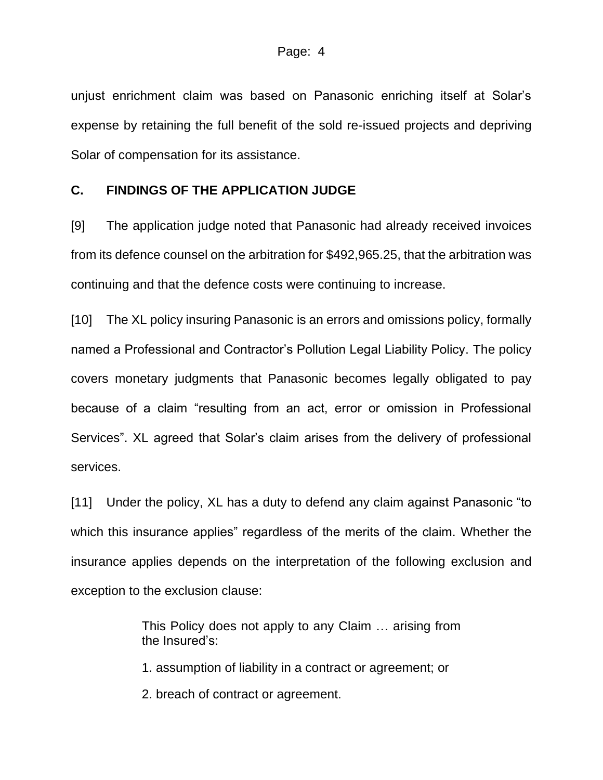unjust enrichment claim was based on Panasonic enriching itself at Solar's expense by retaining the full benefit of the sold re-issued projects and depriving Solar of compensation for its assistance.

#### **C. FINDINGS OF THE APPLICATION JUDGE**

[9] The application judge noted that Panasonic had already received invoices from its defence counsel on the arbitration for \$492,965.25, that the arbitration was continuing and that the defence costs were continuing to increase.

[10] The XL policy insuring Panasonic is an errors and omissions policy, formally named a Professional and Contractor's Pollution Legal Liability Policy. The policy covers monetary judgments that Panasonic becomes legally obligated to pay because of a claim "resulting from an act, error or omission in Professional Services". XL agreed that Solar's claim arises from the delivery of professional services.

[11] Under the policy, XL has a duty to defend any claim against Panasonic "to which this insurance applies" regardless of the merits of the claim. Whether the insurance applies depends on the interpretation of the following exclusion and exception to the exclusion clause:

> This Policy does not apply to any Claim … arising from the Insured's:

1. assumption of liability in a contract or agreement; or

2. breach of contract or agreement.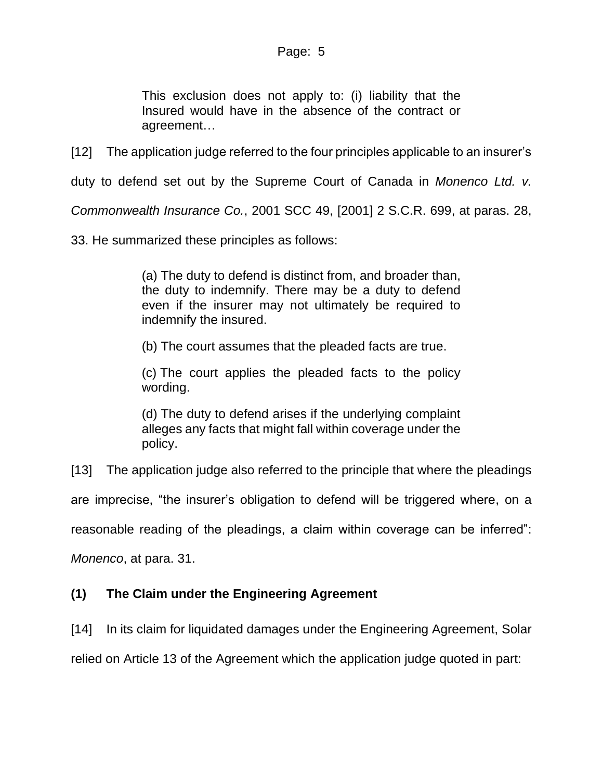This exclusion does not apply to: (i) liability that the Insured would have in the absence of the contract or agreement…

[12] The application judge referred to the four principles applicable to an insurer's

duty to defend set out by the Supreme Court of Canada in *Monenco Ltd. v.* 

*Commonwealth Insurance Co.*, 2001 SCC 49, [2001] 2 S.C.R. 699, at paras. 28,

33. He summarized these principles as follows:

(a) The duty to defend is distinct from, and broader than, the duty to indemnify. There may be a duty to defend even if the insurer may not ultimately be required to indemnify the insured.

(b) The court assumes that the pleaded facts are true.

(c) The court applies the pleaded facts to the policy wording.

(d) The duty to defend arises if the underlying complaint alleges any facts that might fall within coverage under the policy.

[13] The application judge also referred to the principle that where the pleadings

are imprecise, "the insurer's obligation to defend will be triggered where, on a

reasonable reading of the pleadings, a claim within coverage can be inferred":

*Monenco*, at para. 31.

#### **(1) The Claim under the Engineering Agreement**

[14] In its claim for liquidated damages under the Engineering Agreement, Solar

relied on Article 13 of the Agreement which the application judge quoted in part: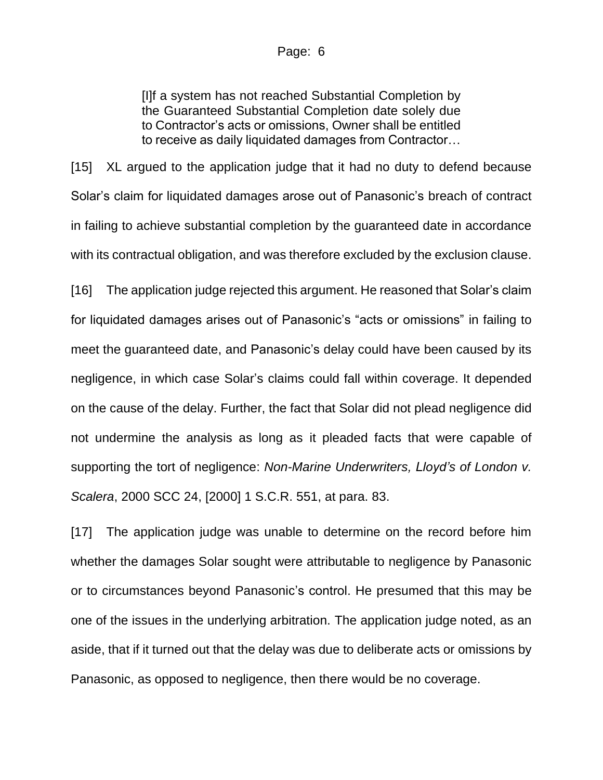#### Page: 6

[I]f a system has not reached Substantial Completion by the Guaranteed Substantial Completion date solely due to Contractor's acts or omissions, Owner shall be entitled to receive as daily liquidated damages from Contractor…

[15] XL argued to the application judge that it had no duty to defend because Solar's claim for liquidated damages arose out of Panasonic's breach of contract in failing to achieve substantial completion by the guaranteed date in accordance with its contractual obligation, and was therefore excluded by the exclusion clause.

[16] The application judge rejected this argument. He reasoned that Solar's claim for liquidated damages arises out of Panasonic's "acts or omissions" in failing to meet the guaranteed date, and Panasonic's delay could have been caused by its negligence, in which case Solar's claims could fall within coverage. It depended on the cause of the delay. Further, the fact that Solar did not plead negligence did not undermine the analysis as long as it pleaded facts that were capable of supporting the tort of negligence: *Non-Marine Underwriters, Lloyd's of London v. Scalera*, 2000 SCC 24, [2000] 1 S.C.R. 551, at para. 83.

[17] The application judge was unable to determine on the record before him whether the damages Solar sought were attributable to negligence by Panasonic or to circumstances beyond Panasonic's control. He presumed that this may be one of the issues in the underlying arbitration. The application judge noted, as an aside, that if it turned out that the delay was due to deliberate acts or omissions by Panasonic, as opposed to negligence, then there would be no coverage.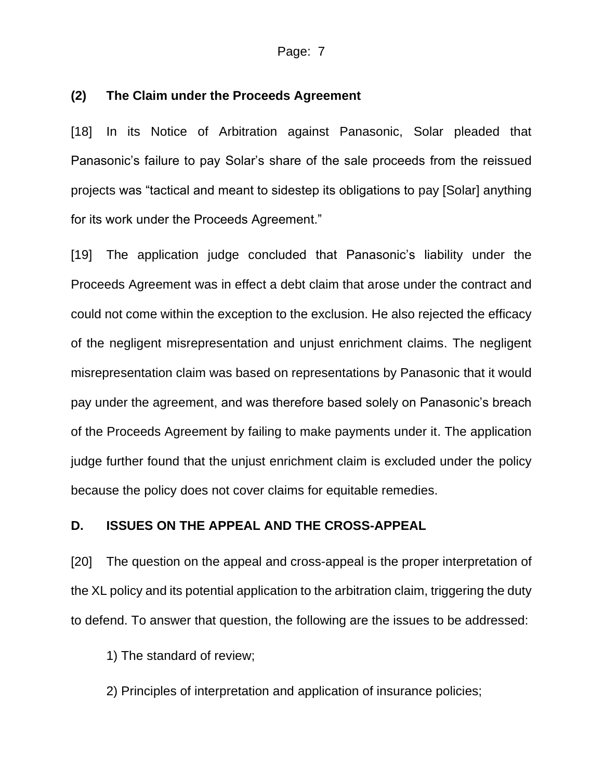#### Page: 7

#### **(2) The Claim under the Proceeds Agreement**

[18] In its Notice of Arbitration against Panasonic, Solar pleaded that Panasonic's failure to pay Solar's share of the sale proceeds from the reissued projects was "tactical and meant to sidestep its obligations to pay [Solar] anything for its work under the Proceeds Agreement."

[19] The application judge concluded that Panasonic's liability under the Proceeds Agreement was in effect a debt claim that arose under the contract and could not come within the exception to the exclusion. He also rejected the efficacy of the negligent misrepresentation and unjust enrichment claims. The negligent misrepresentation claim was based on representations by Panasonic that it would pay under the agreement, and was therefore based solely on Panasonic's breach of the Proceeds Agreement by failing to make payments under it. The application judge further found that the unjust enrichment claim is excluded under the policy because the policy does not cover claims for equitable remedies.

#### **D. ISSUES ON THE APPEAL AND THE CROSS-APPEAL**

[20] The question on the appeal and cross-appeal is the proper interpretation of the XL policy and its potential application to the arbitration claim, triggering the duty to defend. To answer that question, the following are the issues to be addressed:

1) The standard of review;

2) Principles of interpretation and application of insurance policies;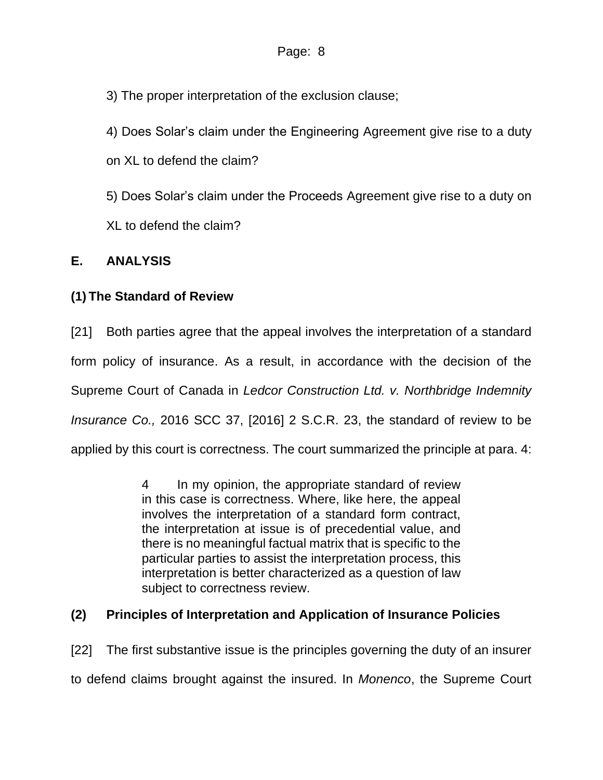3) The proper interpretation of the exclusion clause;

4) Does Solar's claim under the Engineering Agreement give rise to a duty

on XL to defend the claim?

5) Does Solar's claim under the Proceeds Agreement give rise to a duty on XL to defend the claim?

### **E. ANALYSIS**

### **(1) The Standard of Review**

[21] Both parties agree that the appeal involves the interpretation of a standard form policy of insurance. As a result, in accordance with the decision of the Supreme Court of Canada in *Ledcor Construction Ltd. v. Northbridge Indemnity Insurance Co.,* 2016 SCC 37, [2016] 2 S.C.R. 23, the standard of review to be applied by this court is correctness. The court summarized the principle at para. 4:

> 4 In my opinion, the appropriate standard of review in this case is correctness. Where, like here, the appeal involves the interpretation of a standard form contract, the interpretation at issue is of precedential value, and there is no meaningful factual matrix that is specific to the particular parties to assist the interpretation process, this interpretation is better characterized as a question of law subject to correctness review.

### **(2) Principles of Interpretation and Application of Insurance Policies**

[22] The first substantive issue is the principles governing the duty of an insurer to defend claims brought against the insured. In *Monenco*, the Supreme Court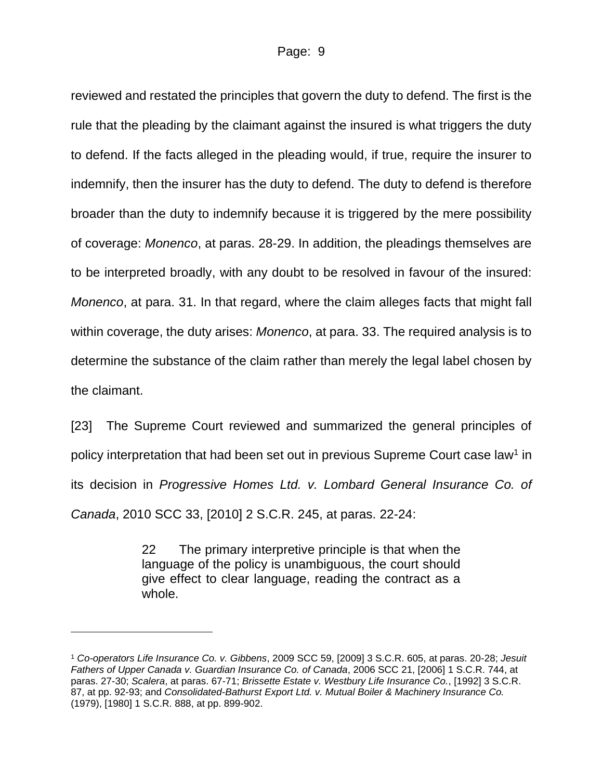reviewed and restated the principles that govern the duty to defend. The first is the rule that the pleading by the claimant against the insured is what triggers the duty to defend. If the facts alleged in the pleading would, if true, require the insurer to indemnify, then the insurer has the duty to defend. The duty to defend is therefore broader than the duty to indemnify because it is triggered by the mere possibility of coverage: *Monenco*, at paras. 28-29. In addition, the pleadings themselves are to be interpreted broadly, with any doubt to be resolved in favour of the insured: *Monenco*, at para. 31. In that regard, where the claim alleges facts that might fall within coverage, the duty arises: *Monenco*, at para. 33. The required analysis is to determine the substance of the claim rather than merely the legal label chosen by the claimant.

[23] The Supreme Court reviewed and summarized the general principles of policy interpretation that had been set out in previous Supreme Court case law<sup>1</sup> in its decision in *Progressive Homes Ltd. v. Lombard General Insurance Co. of Canada*, 2010 SCC 33, [2010] 2 S.C.R. 245, at paras. 22-24:

> 22 The primary interpretive principle is that when the language of the policy is unambiguous, the court should give effect to clear language, reading the contract as a whole.

<sup>1</sup> *Co-operators Life Insurance Co. v. Gibbens*, 2009 SCC 59, [2009] 3 S.C.R. 605, at paras. 20-28; *Jesuit Fathers of Upper Canada v. Guardian Insurance Co. of Canada*, 2006 SCC 21, [2006] 1 S.C.R. 744, at paras. 27-30; *Scalera*, at paras. 67-71; *Brissette Estate v. Westbury Life Insurance Co.*, [1992] 3 S.C.R. 87, at pp. 92-93; and *Consolidated-Bathurst Export Ltd. v. Mutual Boiler & Machinery Insurance Co.* (1979), [1980] 1 S.C.R. 888, at pp. 899-902.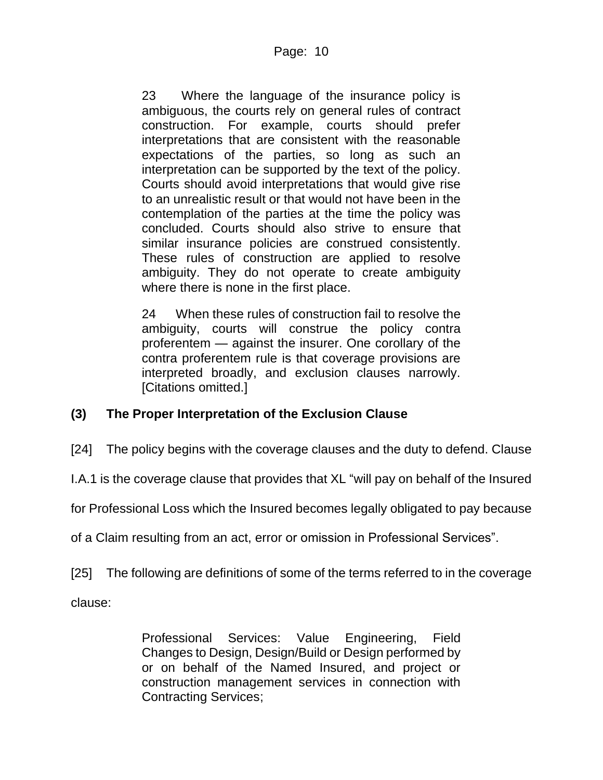23 Where the language of the insurance policy is ambiguous, the courts rely on general rules of contract construction. For example, courts should prefer interpretations that are consistent with the reasonable expectations of the parties, so long as such an interpretation can be supported by the text of the policy. Courts should avoid interpretations that would give rise to an unrealistic result or that would not have been in the contemplation of the parties at the time the policy was concluded. Courts should also strive to ensure that similar insurance policies are construed consistently. These rules of construction are applied to resolve ambiguity. They do not operate to create ambiguity where there is none in the first place.

24 When these rules of construction fail to resolve the ambiguity, courts will construe the policy contra proferentem — against the insurer. One corollary of the contra proferentem rule is that coverage provisions are interpreted broadly, and exclusion clauses narrowly. [Citations omitted.]

### **(3) The Proper Interpretation of the Exclusion Clause**

[24] The policy begins with the coverage clauses and the duty to defend. Clause

I.A.1 is the coverage clause that provides that XL "will pay on behalf of the Insured

for Professional Loss which the Insured becomes legally obligated to pay because

of a Claim resulting from an act, error or omission in Professional Services".

[25] The following are definitions of some of the terms referred to in the coverage

clause:

Professional Services: Value Engineering, Field Changes to Design, Design/Build or Design performed by or on behalf of the Named Insured, and project or construction management services in connection with Contracting Services;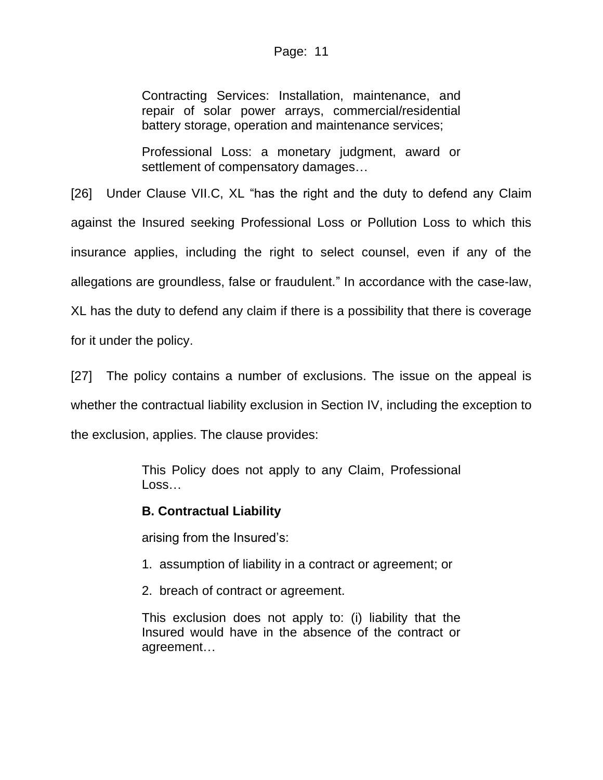#### Page: 11

Contracting Services: Installation, maintenance, and repair of solar power arrays, commercial/residential battery storage, operation and maintenance services;

Professional Loss: a monetary judgment, award or settlement of compensatory damages…

[26] Under Clause VII.C, XL "has the right and the duty to defend any Claim against the Insured seeking Professional Loss or Pollution Loss to which this insurance applies, including the right to select counsel, even if any of the allegations are groundless, false or fraudulent." In accordance with the case-law, XL has the duty to defend any claim if there is a possibility that there is coverage for it under the policy.

[27] The policy contains a number of exclusions. The issue on the appeal is whether the contractual liability exclusion in Section IV, including the exception to the exclusion, applies. The clause provides:

> This Policy does not apply to any Claim, Professional Loss…

### **B. Contractual Liability**

arising from the Insured's:

- 1. assumption of liability in a contract or agreement; or
- 2. breach of contract or agreement.

This exclusion does not apply to: (i) liability that the Insured would have in the absence of the contract or agreement…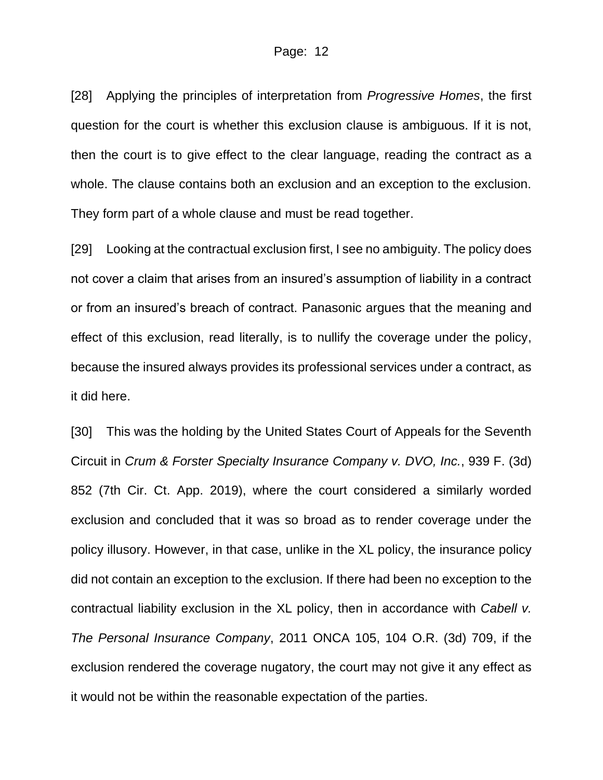[28] Applying the principles of interpretation from *Progressive Homes*, the first question for the court is whether this exclusion clause is ambiguous. If it is not, then the court is to give effect to the clear language, reading the contract as a whole. The clause contains both an exclusion and an exception to the exclusion. They form part of a whole clause and must be read together.

[29] Looking at the contractual exclusion first, I see no ambiguity. The policy does not cover a claim that arises from an insured's assumption of liability in a contract or from an insured's breach of contract. Panasonic argues that the meaning and effect of this exclusion, read literally, is to nullify the coverage under the policy, because the insured always provides its professional services under a contract, as it did here.

[30] This was the holding by the United States Court of Appeals for the Seventh Circuit in *Crum & Forster Specialty Insurance Company v. DVO, Inc.*, 939 F. (3d) 852 (7th Cir. Ct. App. 2019), where the court considered a similarly worded exclusion and concluded that it was so broad as to render coverage under the policy illusory. However, in that case, unlike in the XL policy, the insurance policy did not contain an exception to the exclusion. If there had been no exception to the contractual liability exclusion in the XL policy, then in accordance with *Cabell v. The Personal Insurance Company*, 2011 ONCA 105, 104 O.R. (3d) 709, if the exclusion rendered the coverage nugatory, the court may not give it any effect as it would not be within the reasonable expectation of the parties.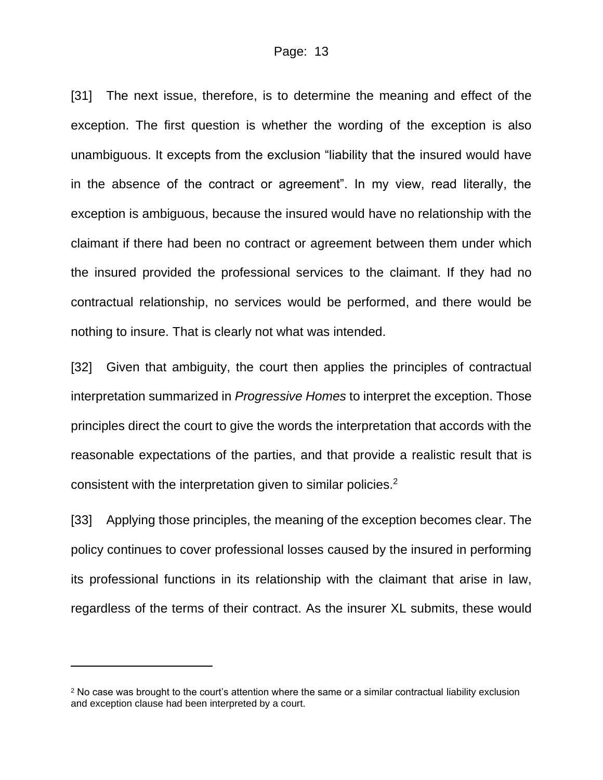[31] The next issue, therefore, is to determine the meaning and effect of the exception. The first question is whether the wording of the exception is also unambiguous. It excepts from the exclusion "liability that the insured would have in the absence of the contract or agreement". In my view, read literally, the exception is ambiguous, because the insured would have no relationship with the claimant if there had been no contract or agreement between them under which the insured provided the professional services to the claimant. If they had no contractual relationship, no services would be performed, and there would be nothing to insure. That is clearly not what was intended.

[32] Given that ambiguity, the court then applies the principles of contractual interpretation summarized in *Progressive Homes* to interpret the exception. Those principles direct the court to give the words the interpretation that accords with the reasonable expectations of the parties, and that provide a realistic result that is consistent with the interpretation given to similar policies.<sup>2</sup>

[33] Applying those principles, the meaning of the exception becomes clear. The policy continues to cover professional losses caused by the insured in performing its professional functions in its relationship with the claimant that arise in law, regardless of the terms of their contract. As the insurer XL submits, these would

<sup>&</sup>lt;sup>2</sup> No case was brought to the court's attention where the same or a similar contractual liability exclusion and exception clause had been interpreted by a court.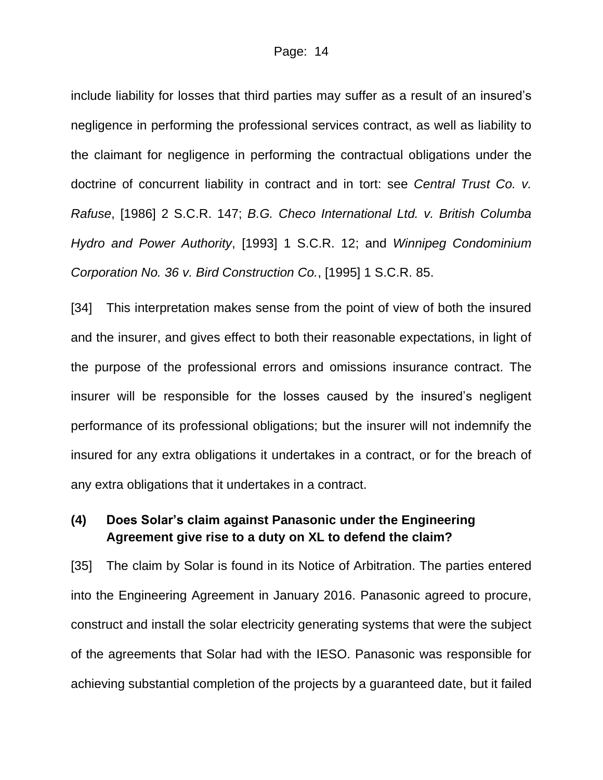include liability for losses that third parties may suffer as a result of an insured's negligence in performing the professional services contract, as well as liability to the claimant for negligence in performing the contractual obligations under the doctrine of concurrent liability in contract and in tort: see *Central Trust Co. v. Rafuse*, [1986] 2 S.C.R. 147; *B.G. Checo International Ltd. v. British Columba Hydro and Power Authority*, [1993] 1 S.C.R. 12; and *Winnipeg Condominium Corporation No. 36 v. Bird Construction Co.*, [1995] 1 S.C.R. 85.

[34] This interpretation makes sense from the point of view of both the insured and the insurer, and gives effect to both their reasonable expectations, in light of the purpose of the professional errors and omissions insurance contract. The insurer will be responsible for the losses caused by the insured's negligent performance of its professional obligations; but the insurer will not indemnify the insured for any extra obligations it undertakes in a contract, or for the breach of any extra obligations that it undertakes in a contract.

### **(4) Does Solar's claim against Panasonic under the Engineering Agreement give rise to a duty on XL to defend the claim?**

[35] The claim by Solar is found in its Notice of Arbitration. The parties entered into the Engineering Agreement in January 2016. Panasonic agreed to procure, construct and install the solar electricity generating systems that were the subject of the agreements that Solar had with the IESO. Panasonic was responsible for achieving substantial completion of the projects by a guaranteed date, but it failed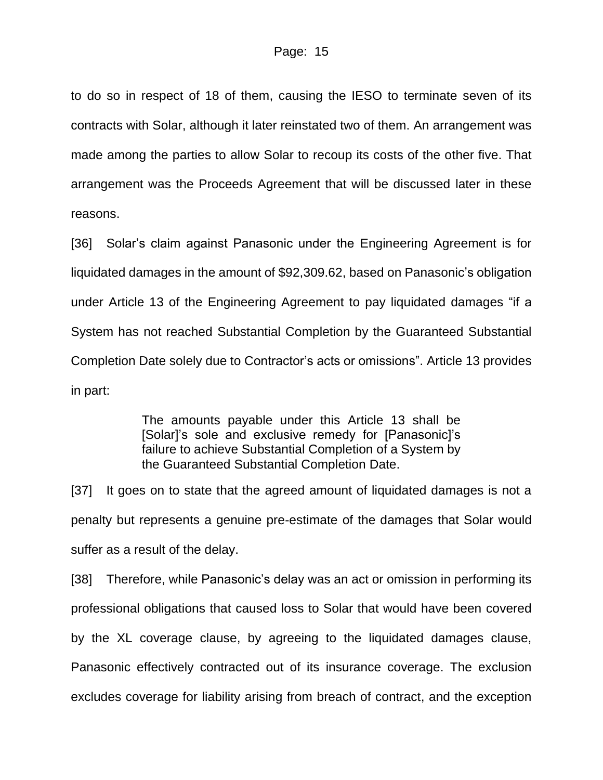to do so in respect of 18 of them, causing the IESO to terminate seven of its contracts with Solar, although it later reinstated two of them. An arrangement was made among the parties to allow Solar to recoup its costs of the other five. That arrangement was the Proceeds Agreement that will be discussed later in these reasons.

[36] Solar's claim against Panasonic under the Engineering Agreement is for liquidated damages in the amount of \$92,309.62, based on Panasonic's obligation under Article 13 of the Engineering Agreement to pay liquidated damages "if a System has not reached Substantial Completion by the Guaranteed Substantial Completion Date solely due to Contractor's acts or omissions". Article 13 provides in part:

> The amounts payable under this Article 13 shall be [Solar]'s sole and exclusive remedy for [Panasonic]'s failure to achieve Substantial Completion of a System by the Guaranteed Substantial Completion Date.

[37] It goes on to state that the agreed amount of liquidated damages is not a penalty but represents a genuine pre-estimate of the damages that Solar would suffer as a result of the delay.

[38] Therefore, while Panasonic's delay was an act or omission in performing its professional obligations that caused loss to Solar that would have been covered by the XL coverage clause, by agreeing to the liquidated damages clause, Panasonic effectively contracted out of its insurance coverage. The exclusion excludes coverage for liability arising from breach of contract, and the exception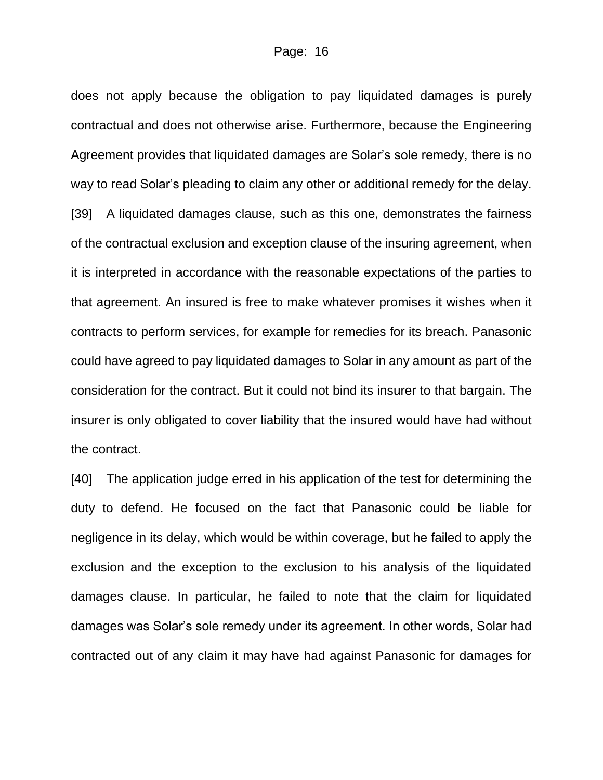does not apply because the obligation to pay liquidated damages is purely contractual and does not otherwise arise. Furthermore, because the Engineering Agreement provides that liquidated damages are Solar's sole remedy, there is no way to read Solar's pleading to claim any other or additional remedy for the delay. [39] A liquidated damages clause, such as this one, demonstrates the fairness of the contractual exclusion and exception clause of the insuring agreement, when it is interpreted in accordance with the reasonable expectations of the parties to that agreement. An insured is free to make whatever promises it wishes when it contracts to perform services, for example for remedies for its breach. Panasonic could have agreed to pay liquidated damages to Solar in any amount as part of the consideration for the contract. But it could not bind its insurer to that bargain. The insurer is only obligated to cover liability that the insured would have had without the contract.

[40] The application judge erred in his application of the test for determining the duty to defend. He focused on the fact that Panasonic could be liable for negligence in its delay, which would be within coverage, but he failed to apply the exclusion and the exception to the exclusion to his analysis of the liquidated damages clause. In particular, he failed to note that the claim for liquidated damages was Solar's sole remedy under its agreement. In other words, Solar had contracted out of any claim it may have had against Panasonic for damages for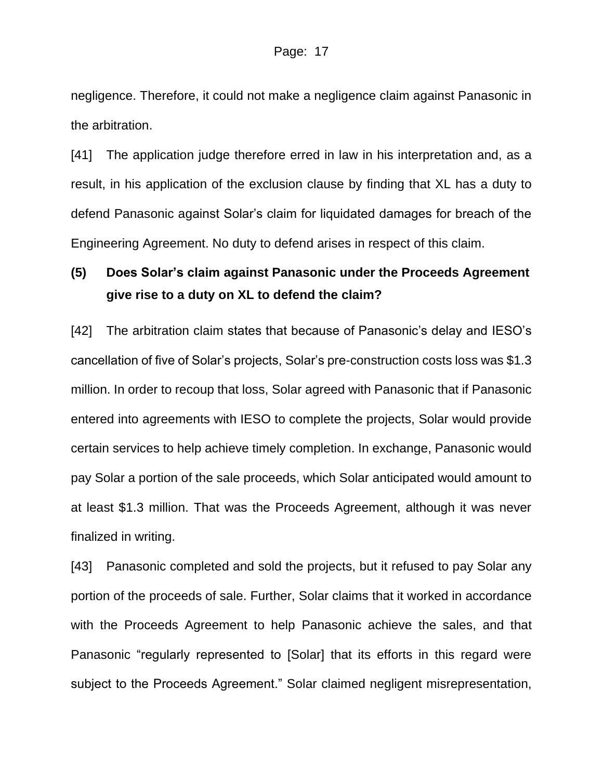negligence. Therefore, it could not make a negligence claim against Panasonic in the arbitration.

[41] The application judge therefore erred in law in his interpretation and, as a result, in his application of the exclusion clause by finding that XL has a duty to defend Panasonic against Solar's claim for liquidated damages for breach of the Engineering Agreement. No duty to defend arises in respect of this claim.

## **(5) Does Solar's claim against Panasonic under the Proceeds Agreement give rise to a duty on XL to defend the claim?**

[42] The arbitration claim states that because of Panasonic's delay and IESO's cancellation of five of Solar's projects, Solar's pre-construction costs loss was \$1.3 million. In order to recoup that loss, Solar agreed with Panasonic that if Panasonic entered into agreements with IESO to complete the projects, Solar would provide certain services to help achieve timely completion. In exchange, Panasonic would pay Solar a portion of the sale proceeds, which Solar anticipated would amount to at least \$1.3 million. That was the Proceeds Agreement, although it was never finalized in writing.

[43] Panasonic completed and sold the projects, but it refused to pay Solar any portion of the proceeds of sale. Further, Solar claims that it worked in accordance with the Proceeds Agreement to help Panasonic achieve the sales, and that Panasonic "regularly represented to [Solar] that its efforts in this regard were subject to the Proceeds Agreement." Solar claimed negligent misrepresentation,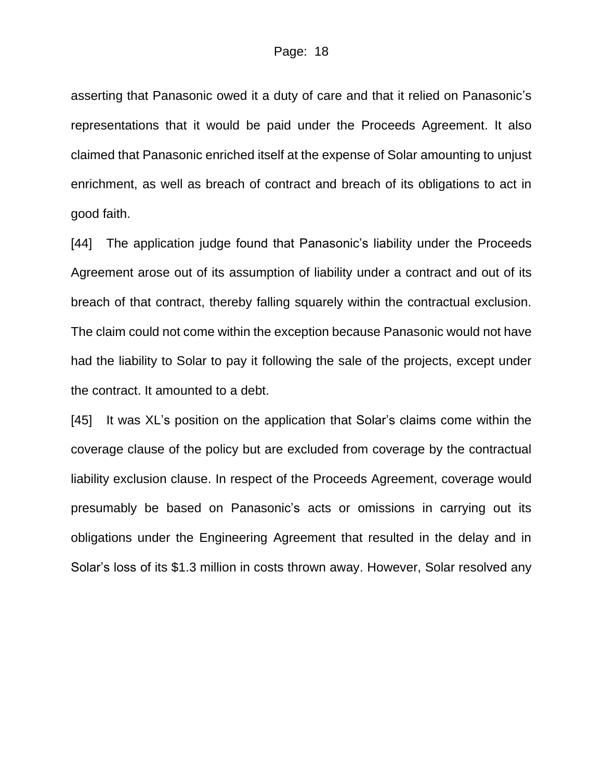asserting that Panasonic owed it a duty of care and that it relied on Panasonic's representations that it would be paid under the Proceeds Agreement. It also claimed that Panasonic enriched itself at the expense of Solar amounting to unjust enrichment, as well as breach of contract and breach of its obligations to act in good faith.

[44] The application judge found that Panasonic's liability under the Proceeds Agreement arose out of its assumption of liability under a contract and out of its breach of that contract, thereby falling squarely within the contractual exclusion. The claim could not come within the exception because Panasonic would not have had the liability to Solar to pay it following the sale of the projects, except under the contract. It amounted to a debt.

[45] It was XL's position on the application that Solar's claims come within the coverage clause of the policy but are excluded from coverage by the contractual liability exclusion clause. In respect of the Proceeds Agreement, coverage would presumably be based on Panasonic's acts or omissions in carrying out its obligations under the Engineering Agreement that resulted in the delay and in Solar's loss of its \$1.3 million in costs thrown away. However, Solar resolved any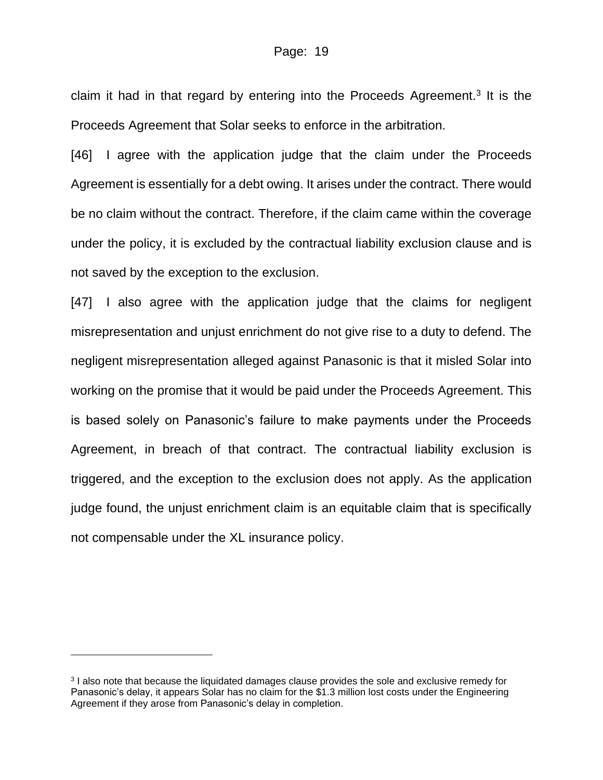claim it had in that regard by entering into the Proceeds Agreement.<sup>3</sup> It is the Proceeds Agreement that Solar seeks to enforce in the arbitration.

[46] I agree with the application judge that the claim under the Proceeds Agreement is essentially for a debt owing. It arises under the contract. There would be no claim without the contract. Therefore, if the claim came within the coverage under the policy, it is excluded by the contractual liability exclusion clause and is not saved by the exception to the exclusion.

[47] I also agree with the application judge that the claims for negligent misrepresentation and unjust enrichment do not give rise to a duty to defend. The negligent misrepresentation alleged against Panasonic is that it misled Solar into working on the promise that it would be paid under the Proceeds Agreement. This is based solely on Panasonic's failure to make payments under the Proceeds Agreement, in breach of that contract. The contractual liability exclusion is triggered, and the exception to the exclusion does not apply. As the application judge found, the unjust enrichment claim is an equitable claim that is specifically not compensable under the XL insurance policy.

<sup>&</sup>lt;sup>3</sup> I also note that because the liquidated damages clause provides the sole and exclusive remedy for Panasonic's delay, it appears Solar has no claim for the \$1.3 million lost costs under the Engineering Agreement if they arose from Panasonic's delay in completion.